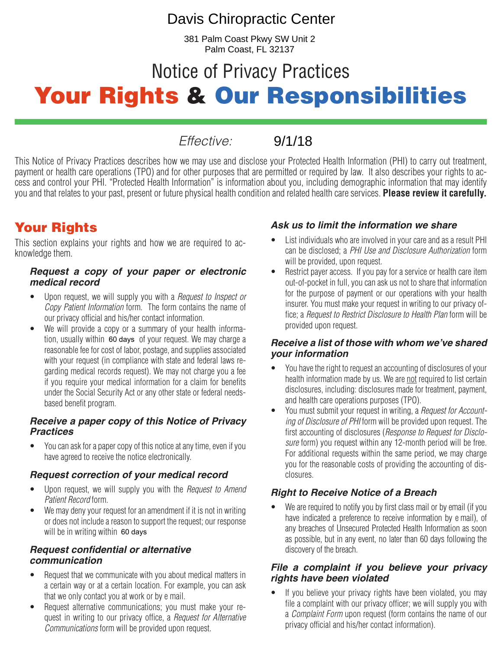# Davis Chiropractic Center

381 Palm Coast Pkwy SW Unit 2 Palm Coast, FL 32137

# Notice of Privacy Practices Your Rights & Our Responsibilities

*Effective:* 

9/1/18

This Notice of Privacy Practices describes how we may use and disclose your Protected Health Information (PHI) to carry out treatment, payment or health care operations (TPO) and for other purposes that are permitted or required by law. It also describes your rights to access and control your PHI. "Protected Health Information" is information about you, including demographic information that may identify you and that relates to your past, present or future physical health condition and related health care services. **Please review it carefully.**

# Your Rights

This section explains your rights and how we are required to acknowledge them.

#### *Request a copy of your paper or electronic medical record*

- Upon request, we will supply you with a *Request to Inspect or Copy Patient Information* form. The form contains the name of our privacy official and his/her contact information.
- We will provide a copy or a summary of your health information, usually within 60 days of your request. We may charge a reasonable fee for cost of labor, postage, and supplies associated with your request (in compliance with state and federal laws regarding medical records request). We may not charge you a fee if you require your medical information for a claim for benefits under the Social Security Act or any other state or federal needsbased benefit program.

#### *Receive a paper copy of this Notice of Privacy Practices*

• You can ask for a paper copy of this notice at any time, even if you have agreed to receive the notice electronically.

#### *Request correction of your medical record*

- Upon request, we will supply you with the *Request to Amend Patient Record* form.
- We may deny your request for an amendment if it is not in writing or does not include a reason to support the request; our response will be in writing within [60 days]. 60 days

#### *Request confidential or alternative communication*

- Request that we communicate with you about medical matters in a certain way or at a certain location. For example, you can ask that we only contact you at work or by e mail.
- Request alternative communications; you must make your request in writing to our privacy office, a *Request for Alternative Communications* form will be provided upon request.

#### *Ask us to limit the information we share*

- List individuals who are involved in your care and as a result PHI can be disclosed; a *PHI Use and Disclosure Authorization* form will be provided, upon request.
- Restrict payer access. If you pay for a service or health care item out-of-pocket in full, you can ask us not to share that information for the purpose of payment or our operations with your health insurer. You must make your request in writing to our privacy office; a *Request to Restrict Disclosure to Health Plan* form will be provided upon request.

#### *Receive a list of those with whom we've shared your information*

- You have the right to request an accounting of disclosures of your health information made by us. We are not required to list certain disclosures, including: disclosures made for treatment, payment, and health care operations purposes (TPO).
- You must submit your request in writing, a *Request for Accounting of Disclosure of PHI* form will be provided upon request. The first accounting of disclosures (*Response to Request for Disclosure* form) you request within any 12-month period will be free. For additional requests within the same period, we may charge you for the reasonable costs of providing the accounting of disclosures.

#### *Right to Receive Notice of a Breach*

We are required to notify you by first class mail or by email (if you have indicated a preference to receive information by e mail), of any breaches of Unsecured Protected Health Information as soon as possible, but in any event, no later than 60 days following the discovery of the breach.

#### *File a complaint if you believe your privacy rights have been violated*

• If you believe your privacy rights have been violated, you may file a complaint with our privacy officer; we will supply you with a *Complaint Form* upon request (form contains the name of our privacy official and his/her contact information).